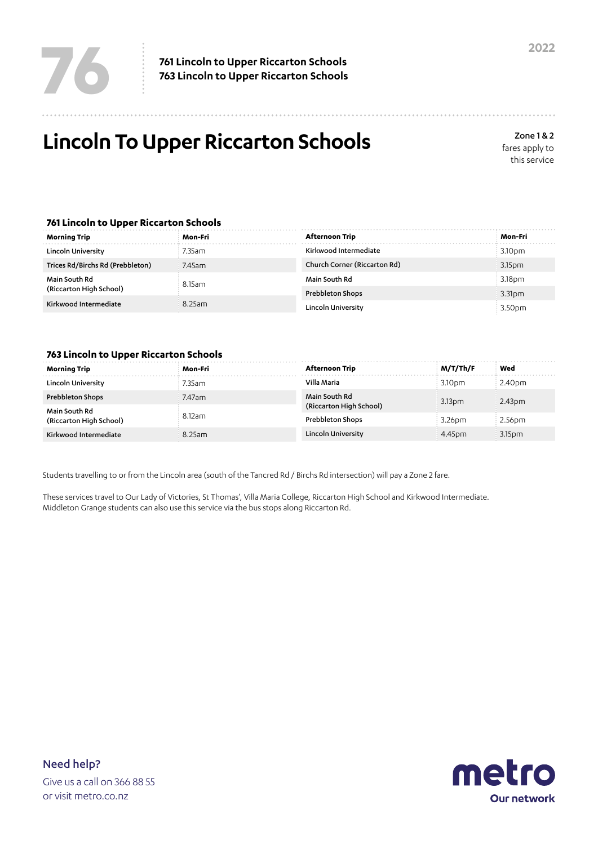## **Lincoln To Upper Riccarton Schools**

Zone 1 & 2 fares apply to this service

## **761 Lincoln to Upper Riccarton Schools**

| Morning Trip                                                      | Mon-Fri             | Afternoon Trip               | Mon-Fri            |
|-------------------------------------------------------------------|---------------------|------------------------------|--------------------|
| Lincoln University                                                | 7.35am              | Kirkwood Intermediate        | 3.10pm             |
| Trices Rd/Birchs Rd (Prebbleton)                                  | 7.45am              | Church Corner (Riccarton Rd) | 3.15pm             |
| Main South Rd<br>(Riccarton High School)<br>Kirkwood Intermediate | 8.15am<br>$8.25$ am | Main South Rd                | 3.18 <sub>pm</sub> |
|                                                                   |                     | Prebbleton Shops             | 3.31 <sub>pm</sub> |
|                                                                   |                     | Lincoln University           | 3.50pm             |

## **763 Lincoln to Upper Riccarton Schools**

| Morning Trip                      | Mon-Fri | Afternoon Trip                           | M/T/Th/F           | Wed    |
|-----------------------------------|---------|------------------------------------------|--------------------|--------|
| Lincoln University                | '.35am  | Villa Maria                              | 3.10 <sub>DT</sub> | 2.40pm |
| Prebbleton Shops<br>Main South Rd | 7.47am  | Main South Rd<br>(Riccarton High School) | 3.13 <sub>D</sub>  | 2.43pm |
| (Riccarton High School)           | 8.12am  | <b>Prebbleton Shops</b>                  | 3.26 <sub>dm</sub> | 2.56pm |
| Kirkwood Intermediate             | 8.25am  | Lincoln University                       | 4.45pm             | 3.15pm |

Students travelling to or from the Lincoln area (south of the Tancred Rd / Birchs Rd intersection) will pay a Zone 2 fare.

These services travel to Our Lady of Victories, St Thomas', Villa Maria College, Riccarton High School and Kirkwood Intermediate. Middleton Grange students can also use this service via the bus stops along Riccarton Rd.



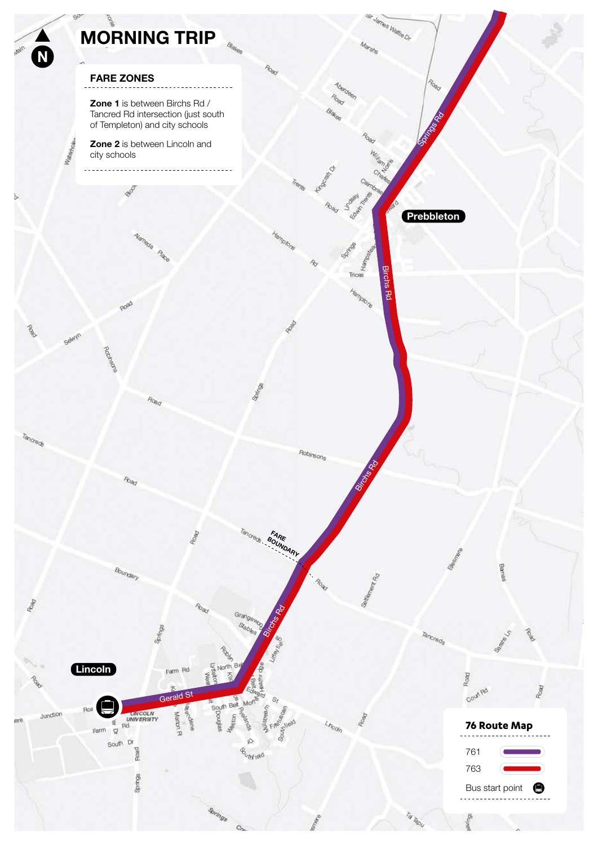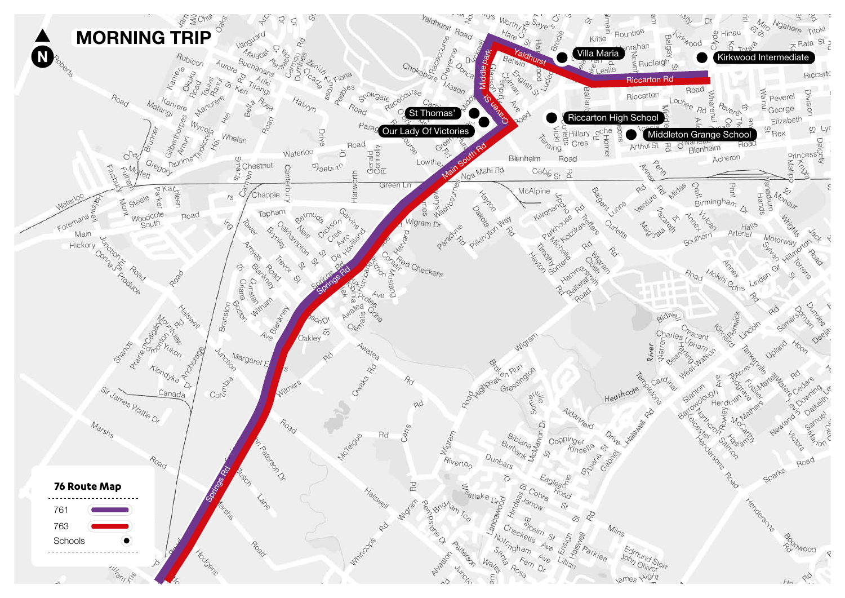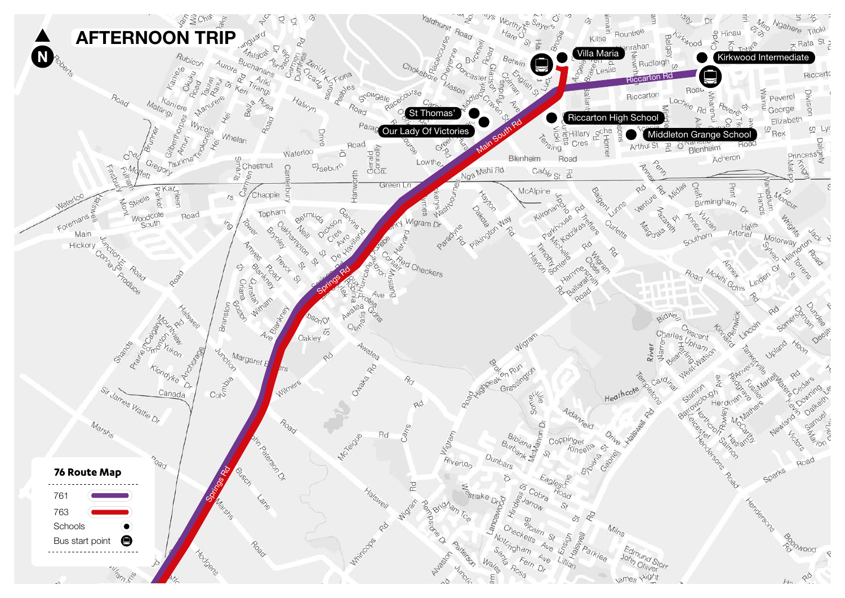